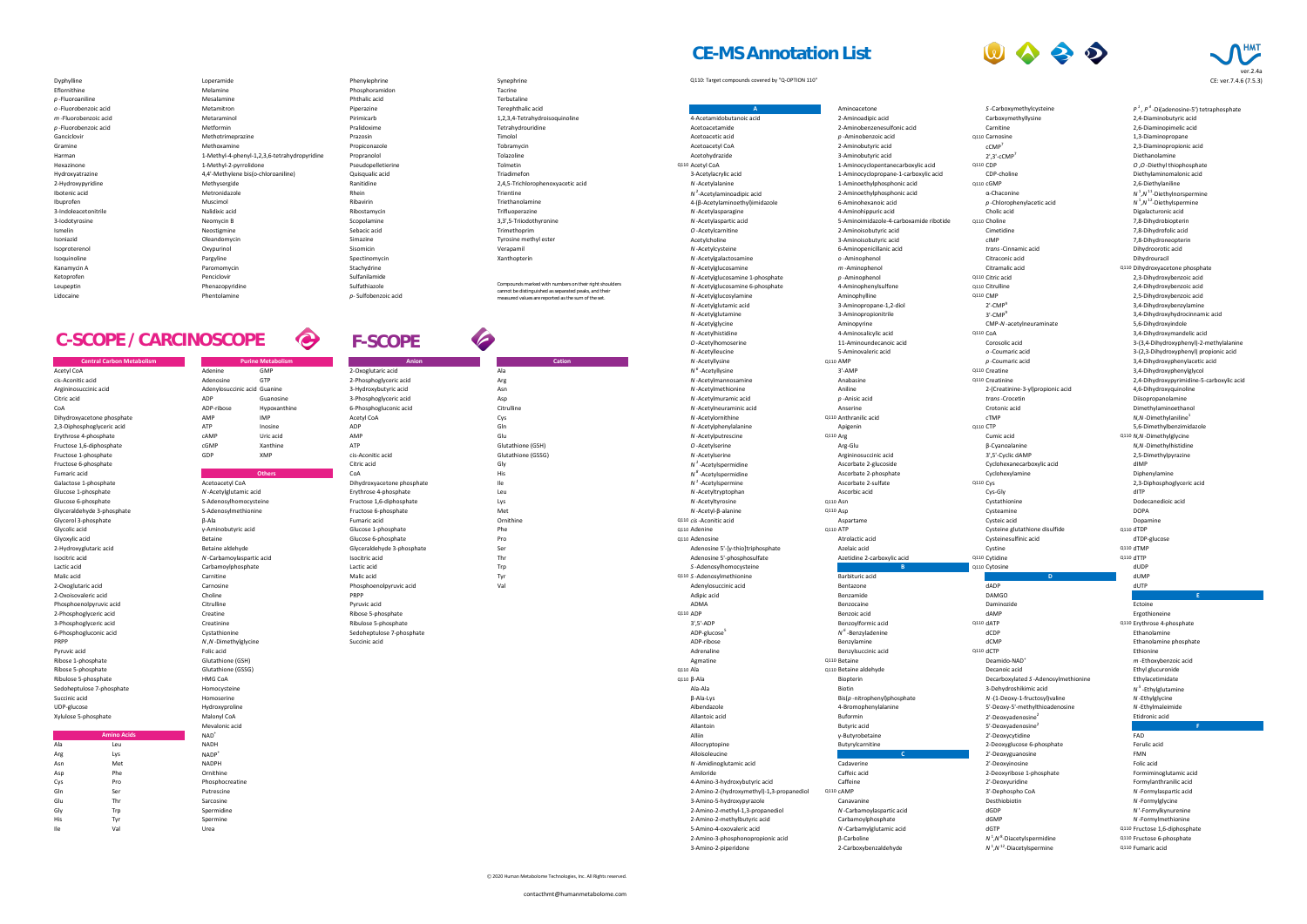# Leupeptin Sulfathiazole **Communist Communist Communist Communist Communist Communist Communist Communist Communist Communist Communist Communist Communist Communist Communist Communist Communist Communist Communist Communi** Kanamycin A Stachydrine National Methods of Paromomycin Stachydrine Stachydrine Ketoprofen Sulfanilamide Penciclovir Penciclovir Changes and Sulfanilamide Isoproterenol Oxypurinol Sisomicin Verapamil Isoquinoline **Spectinomycin** Pargyline Spectinomycin Spectinomycin Xanthopterin Ismelin **International Constitution** Neostigmine Sebacic acid Trimethoprim Isoniazid Oleandomycin Simazine Tyrosine methyl ester 3-Indoleacetonitrile **1986 a. A. Malidixic acid** Ribostamycin Ribostamycin Trifluoperazine 3-Iodotyrosine Neomycin B Scopolamine 3,3',5-Triiodothyronine Ibotenic acid **Metronidazole** Metronidazole Rhein Rhein Trientine Ibuprofen **1. Europa Muscimol Muscimol** Ribavirin Ribavirin Ribavirin Triethanolamine Hydroxyatrazine **1.4'-Methylene bis(o-chloroaniline)** Quisqualic acid Triadimefon 2-Hydroxypyridine Methysergide Ranitidine 2,4,5-Trichlorophenoxyacetic acid Harman 2003 Methyl-4-phenyl-1,2,3,6-tetrahydropyridine Propranolol Propranolol Tolazoline Hexazinone **1-Methyl-2-pyrrolidone** 1-Methyl-2-pyrrolidone Pseudopelletierine **Pseudopelletierine** Tolmetin Ganciclovir **Methotrimeprazine** Methotrimeprazine Prazosin **Prazosin** Prazosin Gramine Methoxamine Propiconazole Tobramycin *m* -Fluorobenzoic acid Metaraminol Pirimicarb 1,2,3,4-Tetrahydroisoquinoline p -Fluorobenzoic acid a more more methormin and Metformin Pralidoxime Tetrahydrouridine p -Fluoroaniline **1.1 Terbutaline** and Mesalamine **Mesalamine** Phthalic acid Terbutaline *o* -Fluorobenzoic acid Metamitron Piperazine Terephthalic acid Eflornithine **Example 2018** Melamine **Melamine** Phosphoramidon Phosphoramidon Tacrine

# **CE-MS Annotation List**

Dyphylline Synephrine Synephrine Synephrine Synephrine Synephrine Campounds covered by "Q-OPTION 110"

<sup>1</sup>,N<sup>12</sup>-Diacetylspermine Q110 Fumaric acid



|          | Α                                         |
|----------|-------------------------------------------|
|          | 4-Acetamidobutanoic acid                  |
|          | Acetoacetamide                            |
|          | Acetoacetic acid                          |
|          | <b>Acetoacetyl CoA</b>                    |
|          | Acetohydrazide                            |
|          | Q110 Acetyl CoA                           |
|          | 3-Acetylacrylic acid                      |
|          | N-Acetylalanine                           |
|          | $N^2$ -Acetylaminoadipic acid             |
|          |                                           |
|          | 4- (β-Acetylaminoethyl) imidazole         |
|          | N-Acetylasparagine                        |
|          | N-Acetylaspartic acid                     |
|          | O-Acetylcarnitine                         |
|          | Acetylcholine                             |
|          | N-Acetylcysteine                          |
|          | N-Acetylgalactosamine                     |
|          | N-Acetylglucosamine                       |
|          | N-Acetylglucosamine 1-phosphate           |
|          | N-Acetylglucosamine 6-phosphate           |
|          | N-Acetylglucosylamine                     |
|          | N-Acetylglutamic acid                     |
|          | N-Acetylglutamine                         |
|          | N-Acetylglycine                           |
|          | N-Acetylhistidine                         |
|          | O-Acetylhomoserine                        |
|          | N-Acetylleucine                           |
|          | N-Acetyllysine                            |
|          | $N^6$ -Acetyllysine                       |
|          | N-Acetylmannosamine                       |
|          | N-Acetylmethionine                        |
|          | N-Acetylmuramic acid                      |
|          | N-Acetylneuraminic acid                   |
|          | N-Acetylornithine                         |
|          | N-Acetylphenylalanine                     |
|          | N-Acetylputrescine                        |
|          | O-Acetylserine                            |
|          | N-Acetylserine                            |
|          | $N1$ -Acetylspermidine                    |
|          | $N^8$ -Acetylspermidine                   |
|          | $N1$ -Acetylspermine                      |
|          | N-Acetyltryptophan                        |
|          | N-Acetyltyrosine                          |
|          | $N$ -Acetyl- $\beta$ -alanine             |
|          | Q110 cis-Aconitic acid                    |
|          | Q110 Adenine                              |
|          | Q110 Adenosine                            |
|          | Adenosine 5'-[γ-thio]triphosphate         |
|          | Adenosine 5'-phosphosulfate               |
|          | S-Adenosylhomocysteine                    |
|          | Q110 S-Adenosylmethionine                 |
|          | Adenylosuccinic acid                      |
|          | Adipic acid                               |
|          | <b>ADMA</b>                               |
| Q110 ADP |                                           |
|          | $3', 5'$ -ADP                             |
|          | ADP-glucose <sup>5</sup>                  |
|          | ADP-ribose                                |
|          | Adrenaline                                |
|          | Agmatine                                  |
| Q110 Ala |                                           |
|          | $Q110 \beta$ -Ala                         |
|          | Ala-Ala                                   |
|          | $\beta$ -Ala-Lys                          |
|          | Albendazole                               |
|          | Allantoic acid                            |
|          | Allantoin                                 |
|          | <b>Alliin</b>                             |
|          | Allocryptopine                            |
|          | Alloisoleucine                            |
|          | N-Amidinoglutamic acid                    |
|          | Amiloride                                 |
|          | 4-Amino-3-hydroxybutyric acid             |
|          |                                           |
|          | 2-Amino-2-(hydroxymethyl)-1,3-propanediol |
|          | 3-Amino-5-hydroxypyrazole                 |
|          | 2-Amino-2-methyl-1,3-propanediol          |
|          | 2-Amino-2-methylbutyric acid              |
|          | 5-Amino-4-oxovaleric acid                 |
|          | 2-Amino-3-phosphonopropionic acid         |
|          | 3-Amino-2-piperidone                      |

<sup>1</sup>, P<sup>4</sup>-Di(adenosine-5') tetraphosphate 2,3-Diaminopropionic acid <sup>1</sup>,N<sup>11</sup>-Diethylnorspermine <sup>1</sup>,N<sup>12</sup>-Diethylspermine 3,4-Dihydroxybenzylamine 3,4-Dihydroxyhydrocinnamic acid Corosolic acid **Corosolic acid** 3-(3,4-Dihydroxyphenyl)-2-methylalanine *O* -Coumaric acid *O* -Coumaric acid **3** -  $(2,3$ -Dihydroxyphenyl) propionic acid  $N, N$ -Dimethylaniline $^{1}$ *5* -Ethylglutamine Etidronic acid **F**

| <i>o</i> -Fluorobenzoic acid     | Metamitron                                   | Piperazine                 | Terephthalic acid                                      |                                           | Aminoacetone                            | <i>S</i> -Carboxymethylcysteine           | $P^{\dagger}$ , $P^{\dagger}$ -Di(adenosine-5') tetraphosphate |
|----------------------------------|----------------------------------------------|----------------------------|--------------------------------------------------------|-------------------------------------------|-----------------------------------------|-------------------------------------------|----------------------------------------------------------------|
| <i>m</i> -Fluorobenzoic acid     | Metaraminol                                  | Pirimicarb                 | 1,2,3,4-Tetrahydroisoquinoline                         | 4-Acetamidobutanoic acid                  | 2-Aminoadipic acid                      | Carboxymethyllysine                       | 2,4-Diaminobutyric acid                                        |
| $p$ -Fluorobenzoic acid          | Metformin                                    | Pralidoxime                | Tetrahydrouridine                                      | Acetoacetamide                            | 2-Aminobenzenesulfonic acid             | Carnitine                                 | 2,6-Diaminopimelic acid                                        |
|                                  |                                              |                            |                                                        |                                           |                                         |                                           |                                                                |
| Ganciclovir                      | Methotrimeprazine                            | Prazosin                   | Timolol                                                | Acetoacetic acid                          | $p$ -Aminobenzoic acid                  | Q110 Carnosine                            | 1,3-Diaminopropane                                             |
| Gramine                          | Methoxamine                                  | Propiconazole              | Tobramycin                                             | <b>Acetoacetyl CoA</b>                    | 2-Aminobutyric acid                     | $\mathsf{cCMP}'$                          | 2,3-Diaminopropionic acid                                      |
| Harman                           | 1-Methyl-4-phenyl-1,2,3,6-tetrahydropyridine | Propranolol                | Tolazoline                                             | Acetohydrazide                            | 3-Aminobutyric acid                     | $2^{\prime}$ ,3'-cCMP <sup>'</sup>        | Diethanolamine                                                 |
| Hexazinone                       | 1-Methyl-2-pyrrolidone                       | Pseudopelletierine         | Tolmetin                                               | Q110 Acetyl CoA                           | 1-Aminocyclopentanecarboxylic acid      | Q110 CDP                                  | O, O-Diethyl thiophosphate                                     |
|                                  |                                              |                            |                                                        |                                           |                                         |                                           |                                                                |
| Hydroxyatrazine                  | 4,4'-Methylene bis(o-chloroaniline)          | Quisqualic acid            | Triadimefon                                            | 3-Acetylacrylic acid                      | 1-Aminocyclopropane-1-carboxylic acid   | CDP-choline                               | Diethylaminomalonic acid                                       |
| 2-Hydroxypyridine                | Methysergide                                 | Ranitidine                 | 2,4,5-Trichlorophenoxyacetic acid                      | N-Acetylalanine                           | 1-Aminoethylphosphonic acid             | Q110 CGMP                                 | 2,6-Diethylaniline                                             |
| Ibotenic acid                    | Metronidazole                                | Rhein                      | Trientine                                              | $N^2$ -Acetylaminoadipic acid             | 2-Aminoethylphosphonic acid             | $\alpha$ -Chaconine                       | $N^1,N^1$ -Diethylnorspermine                                  |
|                                  |                                              | Ribavirin                  |                                                        |                                           |                                         |                                           |                                                                |
| Ibuprofen                        | Muscimol                                     |                            | Triethanolamine                                        | 4-(β-Acetylaminoethyl) imidazole          | 6-Aminohexanoic acid                    | $p$ -Chlorophenylacetic acid              | $N^1$ , $N^1$ <sup>2</sup> -Diethylspermine                    |
| 3-Indoleacetonitrile             | Nalidixic acid                               | Ribostamycin               | Trifluoperazine                                        | N-Acetylasparagine                        | 4-Aminohippuric acid                    | Cholic acid                               | Digalacturonic acid                                            |
| 3-lodotyrosine                   | Neomycin B                                   | Scopolamine                | 3,3',5-Triiodothyronine                                | N-Acetylaspartic acid                     | 5-Aminoimidazole-4-carboxamide ribotide | Q110 Choline                              | 7,8-Dihydrobiopterin                                           |
| Ismelin                          | Neostigmine                                  | Sebacic acid               | Trimethoprim                                           | O-Acetylcarnitine                         | 2-Aminoisobutyric acid                  | Cimetidine                                | 7,8-Dihydrofolic acid                                          |
|                                  |                                              |                            |                                                        |                                           |                                         |                                           |                                                                |
| Isoniazid                        | Oleandomycin                                 | Simazine                   | Tyrosine methyl ester                                  | Acetylcholine                             | 3-Aminoisobutyric acid                  | cIMP                                      | 7,8-Dihydroneopterin                                           |
| Isoproterenol                    | Oxypurinol                                   | Sisomicin                  | Verapamil                                              | N-Acetylcysteine                          | 6-Aminopenicillanic acid                | trans-Cinnamic acid                       | Dihydroorotic acid                                             |
| Isoquinoline                     | Pargyline                                    | Spectinomycin              | Xanthopterin                                           | N-Acetylgalactosamine                     | o -Aminophenol                          | Citraconic acid                           | Dihydrouracil                                                  |
|                                  |                                              |                            |                                                        |                                           |                                         |                                           |                                                                |
| Kanamycin A                      | Paromomycin                                  | Stachydrine                |                                                        | N-Acetylglucosamine                       | $m$ -Aminophenol                        | Citramalic acid                           | Q110 Dihydroxyacetone phosphate                                |
| Ketoprofen                       | Penciclovir                                  | Sulfanilamide              |                                                        | N-Acetylglucosamine 1-phosphate           | $p$ -Aminophenol                        | Q110 Citric acid                          | 2,3-Dihydroxybenzoic acid                                      |
| Leupeptin                        | Phenazopyridine                              | Sulfathiazole              | Compounds marked with numbers on their right shoulders | N-Acetylglucosamine 6-phosphate           | 4-Aminophenylsulfone                    | Q110 Citrulline                           | 2,4-Dihydroxybenzoic acid                                      |
| Lidocaine                        | Phentolamine                                 | p-Sulfobenzoic acid        | cannot be distinguished as separated peaks, and their  | N-Acetylglucosylamine                     | Aminophylline                           | Q110 CMP                                  | 2,5-Dihydroxybenzoic acid                                      |
|                                  |                                              |                            | measured values are reported as the sum of the set.    |                                           |                                         |                                           |                                                                |
|                                  |                                              |                            |                                                        | N-Acetylglutamic acid                     | 3-Aminopropane-1,2-diol                 | $2'$ -CMP <sup>9</sup>                    | 3,4-Dihydroxybenzylamine                                       |
|                                  |                                              |                            |                                                        | N-Acetylglutamine                         | 3-Aminopropionitrile                    | $3'$ -CMP <sup>9</sup>                    | 3,4-Dihydroxyhydrocinnamic acid                                |
|                                  |                                              |                            |                                                        | N-Acetylglycine                           | Aminopyrine                             | CMP-N-acetylneuraminate                   | 5,6-Dihydroxyindole                                            |
|                                  |                                              |                            |                                                        | N-Acetylhistidine                         | 4-Aminosalicylic acid                   | Q110 CoA                                  | 3,4-Dihydroxymandelic acid                                     |
| C-SCOPE / CARCINOSCOPE           | Q                                            |                            | <b>SIP</b>                                             |                                           |                                         |                                           |                                                                |
|                                  |                                              | <b>F-SCOPE</b>             |                                                        | O-Acetylhomoserine                        | 11-Aminoundecanoic acid                 | Corosolic acid                            | 3-(3,4-Dihydroxyphenyl)-2-methylalanine                        |
|                                  |                                              |                            |                                                        | N-Acetylleucine                           | 5-Aminovaleric acid                     | o -Coumaric acid                          | 3-(2,3-Dihydroxyphenyl) propionic acid                         |
| <b>Central Carbon Metabolism</b> | <b>Purine Metabolism</b>                     | Anion                      | <b>Cation</b>                                          | N-Acetyllysine                            | Q110 AMP                                | $p$ -Coumaric acid                        | 3,4-Dihydroxyphenylacetic acid                                 |
|                                  |                                              |                            |                                                        |                                           |                                         |                                           |                                                                |
| Acetyl CoA                       | Adenine<br><b>GMP</b>                        | 2-Oxoglutaric acid         |                                                        | $N^6$ -Acetyllysine                       | $3'$ -AMP                               | Q110 Creatine                             | 3,4-Dihydroxyphenylglycol                                      |
| cis-Aconitic acid                | <b>GTP</b><br>Adenosine                      | 2-Phosphoglyceric acid     |                                                        | N-Acetylmannosamine                       | Anabasine                               | Q110 Creatinine                           | 2,4-Dihydroxypyrimidine-5-carboxylic acid                      |
| Argininosuccinic acid            | Adenylosuccinic acid Guanine                 | 3-Hydroxybutyric acid      | Asn                                                    | N-Acetylmethionine                        | Aniline                                 | 2-(Creatinine-3-yl)propionic acid         | 4,6-Dihydroxyquinoline                                         |
| Citric acid                      | <b>ADP</b><br>Guanosine                      |                            |                                                        | N-Acetylmuramic acid                      | $p$ -Anisic acid                        |                                           |                                                                |
|                                  |                                              | 3-Phosphoglyceric acid     | Asp                                                    |                                           |                                         | trans-Crocetin                            | Diisopropanolamine                                             |
|                                  | ADP-ribose<br>Hypoxanthine                   | 6-Phosphogluconic acid     | Citrulline                                             | N-Acetylneuraminic acid                   | Anserine                                | Crotonic acid                             | Dimethylaminoethanol                                           |
| Dihydroxyacetone phosphate       | AMP<br><b>IMP</b>                            | Acetyl CoA                 | Cys                                                    | N-Acetylornithine                         | Q110 Anthranilic acid                   | cTMP                                      | $N, N$ -Dimethylaniline <sup>1</sup>                           |
| 2,3-Diphosphoglyceric acid       | <b>ATP</b><br>Inosine                        | <b>ADP</b>                 | Gln                                                    | N-Acetylphenylalanine                     | Apigenin                                | Q110 CTP                                  | 5,6-Dimethylbenzimidazole                                      |
|                                  |                                              |                            |                                                        |                                           |                                         |                                           |                                                                |
| Erythrose 4-phosphate            | cAMP<br>Uric acid                            | AMP                        | Glu                                                    | N-Acetylputrescine                        | <b>Q110 Arg</b>                         | Cumic acid                                | Q110 N,N-Dimethylglycine                                       |
| Fructose 1,6-diphosphate         | cGMP<br>Xanthine                             | <b>ATP</b>                 | Glutathione (GSH)                                      | O-Acetylserine                            | Arg-Glu                                 | $\beta$ -Cyanoalanine                     | N, N - Dimethylhistidine                                       |
| Fructose 1-phosphate             | GDP<br><b>XMP</b>                            | cis-Aconitic acid          | <b>Glutathione (GSSG)</b>                              | N-Acetylserine                            | Argininosuccinic acid                   | 3',5'-Cyclic dAMP                         | 2,5-Dimethylpyrazine                                           |
|                                  |                                              |                            |                                                        |                                           | Ascorbate 2-glucoside                   |                                           | dIMP                                                           |
| Fructose 6-phosphate             |                                              | Citric acid                | Gly                                                    | $N1$ -Acetylspermidine                    |                                         | Cyclohexanecarboxylic acid                |                                                                |
| Fumaric acid                     | <b>Others</b>                                | CoA                        | <b>His</b>                                             | $N^8$ -Acetylspermidine                   | Ascorbate 2-phosphate                   | Cyclohexylamine                           | Diphenylamine                                                  |
| Galactose 1-phosphate            | <b>Acetoacetyl CoA</b>                       | Dihydroxyacetone phosphate | Ile                                                    | $N^1$ -Acetylspermine                     | Ascorbate 2-sulfate                     | Q110 Cys                                  | 2,3-Diphosphoglyceric acid                                     |
| Glucose 1-phosphate              | N-Acetylglutamic acid                        | Erythrose 4-phosphate      | Leu                                                    | N-Acetyltryptophan                        | Ascorbic acid                           | Cys-Gly                                   | dITP                                                           |
|                                  |                                              |                            |                                                        |                                           |                                         |                                           |                                                                |
| Glucose 6-phosphate              | S-Adenosylhomocysteine                       | Fructose 1,6-diphosphate   | Lys                                                    | N-Acetyltyrosine                          | Q110 Asn                                | Cystathionine                             | Dodecanedioic acid                                             |
| Glyceraldehyde 3-phosphate       | S-Adenosylmethionine                         | Fructose 6-phosphate       | Met                                                    | $N$ -Acetyl- $\beta$ -alanine             | Q110 Asp                                | Cysteamine                                | <b>DOPA</b>                                                    |
| Glycerol 3-phosphate             | $\beta$ -Ala                                 | Fumaric acid               | Ornithine                                              | Q110 cis-Aconitic acid                    | Aspartame                               | Cysteic acid                              | Dopamine                                                       |
|                                  |                                              |                            |                                                        |                                           |                                         |                                           |                                                                |
| Glycolic acid                    | γ-Aminobutyric acid                          | Glucose 1-phosphate        | Phe                                                    | Q110 Adenine                              | Q110 ATP                                | Cysteine glutathione disulfide            | Q110 dTDP                                                      |
| Glyoxylic acid                   | Betaine                                      | Glucose 6-phosphate        | Pro                                                    | Q110 Adenosine                            | Atrolactic acid                         | Cysteinesulfinic acid                     | dTDP-glucose                                                   |
| 2-Hydroxyglutaric acid           | Betaine aldehyde                             | Glyceraldehyde 3-phosphate | Ser                                                    | Adenosine 5'-[γ-thio]triphosphate         | Azelaic acid                            | Cystine                                   | Q110 dTMP                                                      |
| Isocitric acid                   | N-Carbamoylaspartic acid                     | Isocitric acid             | Thr                                                    | Adenosine 5'-phosphosulfate               | Azetidine 2-carboxylic acid             | Q110 Cytidine                             | Q110 dTTP                                                      |
|                                  |                                              |                            |                                                        |                                           |                                         |                                           |                                                                |
| Lactic acid                      | Carbamoylphosphate                           | Lactic acid                | Trp                                                    | S-Adenosylhomocysteine                    |                                         | Q110 Cytosine                             | dUDP                                                           |
| Malic acid                       | Carnitine                                    | Malic acid                 | $T_{V}$                                                | Q110 S-Adenosylmethionine                 | <b>Barbituric acid</b>                  |                                           | dUMP                                                           |
| 2-Oxoglutaric acid               | Carnosine                                    | Phosphoenolpyruvic acid    | Val                                                    | Adenylosuccinic acid                      | Bentazone                               | dADP                                      | dUTP                                                           |
|                                  |                                              | PRPP                       |                                                        |                                           |                                         | <b>DAMGO</b>                              |                                                                |
| 2-Oxoisovaleric acid             | Choline                                      |                            |                                                        | Adipic acid                               | Benzamide                               |                                           |                                                                |
| Phosphoenolpyruvic acid          | Citrulline                                   | Pyruvic acid               |                                                        | ADMA                                      | Benzocaine                              | Daminozide                                | Ectoine                                                        |
| 2-Phosphoglyceric acid           | Creatine                                     | Ribose 5-phosphate         |                                                        | Q110 ADP                                  | Benzoic acid                            | dAMP                                      | Ergothioneine                                                  |
| 3-Phosphoglyceric acid           | Creatinine                                   | Ribulose 5-phosphate       |                                                        | $3^{\prime},5^{\prime}$ -ADF              | Benzoylformic acid                      | Q110 dATP                                 | Q110 Erythrose 4-phosphate                                     |
|                                  | Cystathionine                                |                            |                                                        |                                           |                                         | dCDP                                      | Ethanolamine                                                   |
| 6-Phosphogluconic acid           |                                              | Sedoheptulose 7-phosphate  |                                                        | ADP-glucose <sup>5</sup>                  | $N^b$ -Benzyladenine                    |                                           |                                                                |
| <b>PRPP</b>                      | N, N-Dimethylglycine                         | Succinic acid              |                                                        | ADP-ribose                                | Benzylamine                             | dCMP                                      | Ethanolamine phosphate                                         |
| Pyruvic acid                     | Folic acid                                   |                            |                                                        | Adrenaline                                | Benzylsuccinic acid                     | Q110 dCTP                                 | Ethionine                                                      |
| Ribose 1-phosphate               | <b>Glutathione (GSH)</b>                     |                            |                                                        | Agmatine                                  | Q110 Betaine                            | Deamido-NAD <sup>+</sup>                  | <i>m</i> -Ethoxybenzoic acid                                   |
|                                  |                                              |                            |                                                        |                                           |                                         |                                           |                                                                |
| Ribose 5-phosphate               | <b>Glutathione (GSSG)</b>                    |                            |                                                        | Q110 Ala                                  | Q110 Betaine aldehyde                   | Decanoic acid                             | Ethyl glucuronide                                              |
| Ribulose 5-phosphate             | <b>HMG CoA</b>                               |                            |                                                        | $Q110 \beta$ -Ala                         | Biopterin                               | Decarboxylated S-Adenosylmethionine       | Ethylacetimidate                                               |
| Sedoheptulose 7-phosphate        | Homocysteine                                 |                            |                                                        | Ala-Ala                                   | Biotin                                  | 3-Dehydroshikimic acid                    | $N5$ -Ethylglutamine                                           |
| Succinic acid                    | Homoserine                                   |                            |                                                        | β-Ala-Lys                                 | $\textsf{Bis}(p$ -nitrophenyl)phosphate | N-(1-Deoxy-1-fructosyl) valine            |                                                                |
|                                  |                                              |                            |                                                        |                                           |                                         |                                           | N-Ethylglycine                                                 |
| UDP-glucose                      | Hydroxyproline                               |                            |                                                        | Albendazole                               | 4-Bromophenylalanine                    | 5'-Deoxy-5'-methylthioadenosine           | N-Ethylmaleimide                                               |
| Xylulose 5-phosphate             | <b>Malonyl CoA</b>                           |                            |                                                        | Allantoic acid                            | Buformin                                | 2'-Deoxyadenosine <sup>2</sup>            | Etidronic acid                                                 |
|                                  | Mevalonic acid                               |                            |                                                        | Allantoin                                 | <b>Butyric acid</b>                     | 5'-Deoxyadenosine <sup>2</sup>            |                                                                |
|                                  |                                              |                            |                                                        |                                           |                                         |                                           |                                                                |
| <b>Amino Acids</b>               | $NAD+$                                       |                            |                                                        | Alliin                                    | γ-Butyrobetaine                         | 2'-Deoxycytidine                          | FAD                                                            |
| Leu                              | <b>NADH</b>                                  |                            |                                                        | Allocryptopine                            | Butyrylcarnitine                        | 2-Deoxyglucose 6-phosphate                | Ferulic acid                                                   |
| Lys<br>Arg                       | <b>NADP</b>                                  |                            |                                                        | Alloisoleucine                            |                                         | 2'-Deoxyguanosine                         | <b>FMN</b>                                                     |
| Met<br>Asn                       | <b>NADPH</b>                                 |                            |                                                        | N-Amidinoglutamic acid                    | Cadaverine                              | 2'-Deoxyinosine                           | Folic acid                                                     |
|                                  |                                              |                            |                                                        |                                           |                                         |                                           |                                                                |
| Phe<br>Asp                       | Ornithine                                    |                            |                                                        | Amiloride                                 | Caffeic acid                            | 2-Deoxyribose 1-phosphate                 | Formiminoglutamic acid                                         |
| Pro                              | Phosphocreatine                              |                            |                                                        | 4-Amino-3-hydroxybutyric acid             | Caffeine                                | 2'-Deoxyuridine                           | Formylanthranilic acid                                         |
| Ser                              | Putrescine                                   |                            |                                                        | 2-Amino-2-(hydroxymethyl)-1,3-propanediol | Q110 CAMP                               | 3'-Dephospho CoA                          | N-Formylaspartic acid                                          |
|                                  |                                              |                            |                                                        |                                           |                                         |                                           |                                                                |
| Thr                              | Sarcosine                                    |                            |                                                        | 3-Amino-5-hydroxypyrazole                 | Canavanine                              | Desthiobiotin                             | N-Formylglycine                                                |
| Trp                              | Spermidine                                   |                            |                                                        | 2-Amino-2-methyl-1,3-propanediol          | N-Carbamoylaspartic acid                | dGDP                                      | N'-Formylkynurenine                                            |
| Tyr                              | Spermine                                     |                            |                                                        | 2-Amino-2-methylbutyric acid              | Carbamoylphosphate                      | dGMP                                      | N-Formylmethionine                                             |
|                                  |                                              |                            |                                                        |                                           |                                         |                                           |                                                                |
| Val                              | Urea                                         |                            |                                                        | 5-Amino-4-oxovaleric acid                 | N-Carbamylglutamic acid                 | dGTP                                      | Q110 Fructose 1,6-diphosphate                                  |
|                                  |                                              |                            |                                                        | 2-Amino-3-phosphonopropionic acid         | $\beta$ -Carboline                      | $N1$ , N <sup>8</sup> -Diacetylspermidine | Q110 Fructose 6-phosphate                                      |
|                                  |                                              |                            |                                                        | 3-Amino-2-piperidone                      | 2-Carboxybenzaldehyde                   | $N^1$ , $N^{12}$ -Diacetylspermine        | Q110 Fumaric acid                                              |



# **Others**

# **C-SCOPE / CARCINOSCOPE F-SCOPE**

# **Amino Acids**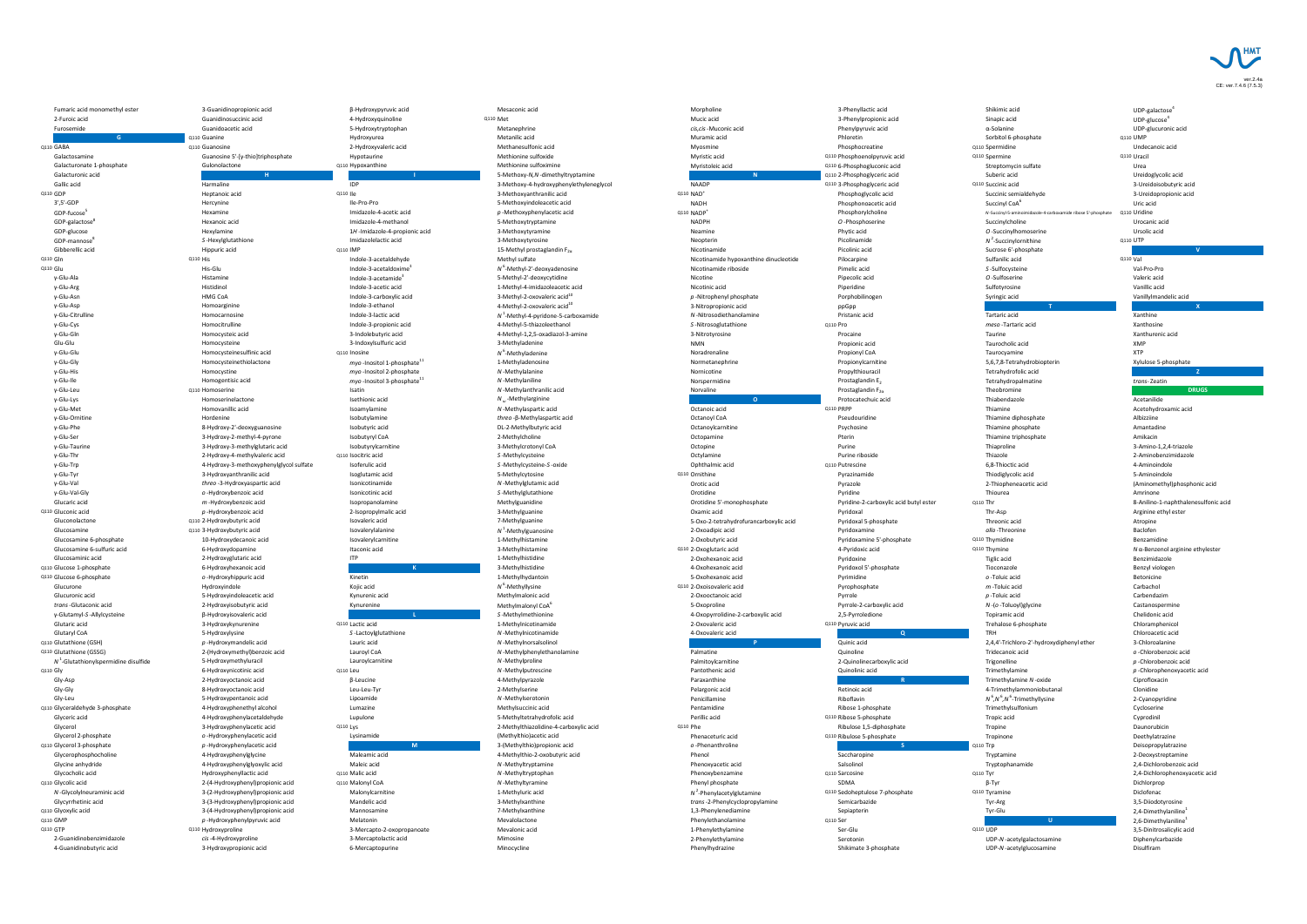

Q110 NAD<sup>+</sup> Q110 NADP<sup>+</sup> *N* 2

Morpholine 3-Phenyllactic acid Shikimic acid UDP-galactose UDP-galactose<sup>4</sup> Q110 Mucic acid 3-Phenylpropionic acid Sinapic acid UDP-glucose UDP-glucose<sup>4</sup> *cis,cis*-Muconic acid Phenylpyruvic acid α-Solanine UDP-glucuronic acid Q110 Muramic acid Phloretin Sorbitol 6-phosphate Q110 UMP Q110 Guanosine Caracterine and Development of the Myosmine Caracterine Caracterine Caracterine Caracterine Caracterine Caracterine Dindecanoic acid Myosmine Dindecanoic acid Myosmine Caracterine Dindecanoic acid Myosmine D Myristic acid and Communication Communication Communication Communication Communication Communication Communication Communication Communication Communication Communication Communication Communication Communication Communic Q110 Hypoxanthine Methionine sulfoximine Methionine sulfoximine Q110 6-Phosphogluconic acid Streptomycin sulfate Urea **N** Q110 2-Phosphoglyceric acid Suberic acid Ureidoglycolic acid NAADP Q110 3-Phosphoglyceric acid Q110 Succinic acid 3-Ureidoisobutyric acid Phosphoglycolic acid Succinic semialdehyde 3-Ureidopropionic acid NADH  $\blacksquare$  Phosphonoacetic acid Succinyl CoA $^6$ Uric acid Phosphorylcholine *N*-Succinyl-5-aminoimidazole-4-carboxamide ribose 5'-phosphate Q110 Uridine NADPH **O**-Phosphoserine Succinylcholine Succinylcholine Succinylcholine Neamine **Contact Contact Contact Contact Contact Contact Contact Contact Contact Contact Contact Contact Contact Contact Contact Contact Contact Contact Contact Contact Contact Contact Contact Contact Contact Contact Conta** Neopterin **Network Community Community Picolinamide Network Community Community Community Community Community Community Community Community Community Community Community Community Community Community Community Community** <sup>2</sup>-Succinylornithine Q110 UTP Q110 IMP and a sucrose 6'-phosphate and Sucrose 6'-phosphate **V** and Micotinamide **V** and Micotinamide **V** and Micotinamide **V** and Micotinamide **V** and Micotinamide **V** and Micotinamide **V** and Micotinamide **V** and Micot Q110 Gln

Q110 Gln

Q110 Gln

Q110 Gln

Q110 Gln

Q110 Gln

Carpine
Colle-3-acetaldehyde
Colle-3-acetaldehyde
Colle-8-acetaldehyde
Colle-8-acetaldehyde
Colle-8-acetaldehyde
Colle-8-acetaldehyde
Colle-8-acetaldehyde
Colle-8 Q110 Nicotinamide riboside Pimelic acid *S* -Sulfocysteine Val-Pro-Pro Nicotine **Contract Contract Contract Contract Contract Contract Contract Contract Contract Contract Contract Contract Contract Contract Contract Contract Contract Contract Contract Contract Contract Contract Contract Contr** Nicotinic acid **Exercical** Piperidine Piperidine Sulfotyrosine Sulfotyrosine Vanillic acid p -Nitrophenyl phosphate **Access Porphobilinogen** Syringic acid Vanillylmandelic acid 3-Nitropropionic acid ppGpp **T X** *N* -Nitrosodiethanolamine Pristanic acid Tartaric acid Xanthine S-Nitrosoglutathione Q110 Pro **CHACK CONTACK CONTACK CONTACK CONTACT CONTACT A CONTACT A CONTROL** 3-Nitrotyrosine Procaine Taurine Xanthurenic acid NMN Propionic acid Taurocholic acid XMP Q110 Inosine  $N^6$ -Methyladenine Propionyl CoA Taurocyamine XTP Normetanephrine **Example 20** Propionylcarnitine 5,6,7,8-Tetrahydrobiopterin Xylulose 5-phosphate Nornicotine Propylthiouracil Tetrahydrofolic acid **Z** Norspermidine **Example 2** Prostaglandin E<sub>2</sub> Tetrahydropalmatine *trans-* Zeatin Q110 Homoserine Satin M-Methylanthranilic acid Norvaline **DRUGS** Prostaglandin F<sub>2α</sub> Theobromine **DRUGS** Prostaglandin F<sub>2α</sub> Theobromine **DRUGS O Protocatechuic acid Thiabendazole CO Protocatechuic acid Thiabendazole CO Acetanilide** Octanoic acid and Q110 PRPP Q110 PRPP COMMENT CONSUMING Thiamine Acetohydroxamic acid Octanoyl CoA **Pseudouridine** Pseudouridine Thiamine diphosphate Albizziine Octanoylcarnitine **Example 2008** Psychosine Psychosine Thiamine phosphate Amantadine Octopamine **Example 20** Thiamine triphosphate **COLLECTION** COLLECTION Thiamine triphosphate **Amikacin** Octopine Purine Purine Purine 2.4-triazole Q110 Isocitric acid S-Methylcysteine S-Methylcysteine Thiazole Purine riboside 2-Aminobenzimidazole Ophthalmic acid Q110 Putrescine 6,8-Thioctic acid 4-Aminoindole Q110 Ornithine Pyrazinamide Thiodiglycolic acid 5-Aminoindole Orotic acid Pyrazole 2-Thiopheneacetic acid (Aminomethyl)phosphonic acid Orotidine Pyridine Thiourea Amrinone Orotidine 5'-monophosphate **Pyridine-2-carboxylic acid butyl ester** Q110 Thr 8-Anilino-1-naphthalenesulfonic acid p-Hydroxybenzoic acid  $p$ -Hydroxybenzoic acid 2-Isopropylmalic acid 2-Isopropylmalic acid Thr-Asp Arginine ethyl ester Arginine ethyl ester Arginine ethyl ester Arginine ethyl ester Arginine ethyl ester Arginine ethyl este Isovaleric acid 7-Methylguanine 7-Methylguanine 5-Oxo-2-tetrahydrofurancarboxylic acid Pyridoxal 5-phosphate Threonic acid Atropine Q110 3-Hydroxybutyric acid a substantine and allo-Threonine and Pyridoxamine and Pyridoxamine and Baclofen and Baclofen and Baclofen and Baclofen and Baclofen and Baclofen and Baclofen and Baclofen and Baclofen and Baclofe 2-Oxobutyric acid **Exercise Contract Act Act Provides Pyridoxamine 5'-phosphate** Q110 Thymidine **COLOGY** Benzamidine Q110 2-Oxoglutaric acid 4-Pyridoxic acid Q110 Thymine *N* α-Benzenol arginine ethylester 2-Oxohexanoic acid a controlled by the Pyridoxine controlled and the Tiglic acid Benzimidazole Q110 4-Oxohexanoic acid Pyridoxol 5'-phosphate Tioconazole Benzyl viologen o-Hydroxyhippuric acid and Deflydroxyhippuric acid and Deflylhydantoin and Defloricine of Defloricine Betonicine Betonicine Betonicine Betonicine Betonicine Betonicine Betonicine Betonicine Betonicine Betonicine Betonicin Q110 2-Oxoisovaleric acid Pyrophosphate *m* -Toluic acid Carbachol 2-Oxooctanoic acid Pyrrole *p* -Toluic acid Carbendazim 5-Oxoproline Pyrrole-2-carboxylic acid *N* -(*o* -Toluoyl)glycine Castanospermine 4-Oxopyrrolidine-2-carboxylic acid 2,5-Pyrroledione Topiramic acid Chelidonic acid Q110 Lactic acid 1-Methylnicotinamide 1-Methylnicotinamide 2-Oxovaleric acid Trehalose 6-phosphate Chloramphenicol 4-Oxovaleric acid **Q** TRH Chloroacetic acid Q110 **P** Quinic acid 2,4,4'-Trichloro-2'-hydroxydiphenyl ether 3-Chloroalanine Q110 Palmatine Quinoline Tridecanoic acid *o* -Chlorobenzoic acid Palmitoylcarnitine **1988** 2-Quinolinecarboxylic acid Trigonelline *p*-Chlorobenzoic acid Q110 Q110 Pantothenic acid Quinolinic acid Trimethylamine *p* -Chlorophenoxyacetic acid Paraxanthine **R** Trimethylamine *N* -oxide Ciprofloxacin Pelargonic acid Retinoic acid 4-Trimethylammoniobutanal Clonidine Penicillamine **Number of Albert According to Albert According to Albert According to Albert According to Albert A** 6 *,N* 6 *,N* 6 2-Cyanopyridine A-Hydroxyphenethyl alcohol and Ribose 1-phosphate Ribose 1-phosphate Trimethylsulfonium Cycloserine Cycloserine Cycloserine Cycloserine Cycloserine Cycloserine Cycloserine Cycloserine Cycloserine Cycloserine Cycloserine Cy Perillic acid Cyprodinil Culture 5-phosphate Culture of the Cyprodinil Cyprodinil Q110 Lys 2-Methylthiazolidine-4-carboxylic acid Q110 Phe Tropine Daunorubicin Ribulose 1,5-diphosphate Daunorubicin Phenaceturic acid and Q110 Ribulose 5-phosphate Tropinone Tropinone Deethylatrazine Q110 *o* -Phenanthroline **S** Q110 Trp Deisopropylatrazine Phenol Saccharopine Saccharopine Tryptamine 2-Deoxystreptamine Phenoxyacetic acid Salsolinol Tryptophanamide 2,4-Dichlorobenzoic acid Q110 Phenoxybenzamine Q110 Sarcosine Q110 Tyr 2,4-Dichlorophenoxyacetic acid 2-(4-Hydroxyphenyl)propionic acid Q110 Malonyl CoA Q110 Malonyl CoA Q110 Malonyl CoA Dichlorprop<br>
2-(4-Hydroxyphenyl)propionic acid Q110 Malonyl CoA Dichlorprophate SDMA Dichlorprop Q110 Sedoheptulose 7-phosphate  $Q110$  Tyramine  $Q110$  Tyramine Diclofenac *trans*-2-Phenylcyclopropylamine Semicarbazide Tyr-Arg 3,5-Diiodotyrosine Q110 1,3-Phenylenediamine Sepiapterin Tyr-Glu 2,4-Dimethylaniline 2,4-Dimethylaniline<sup>1</sup> Q110 Phenylethanolamine Q110 Ser **U** 2,6-Dimethylaniline 2,6-Dimethylaniline<sup>1</sup> Q110 Hydroxyproline 3-Mercapto-2-oxopropanoate Ser-Glu Q110 UDP 3,5-Dinitrosalicylic acid Q110 UDP 3,5-Dinitrosalicylic acid 2-Phenylethylamine **Serotonin** Serotonin Serotonin UDP-N-acetylgalactosamine Diphenylcarbazide 4-Guanidinobutyric acid 3-Hydroxypropionic acid 6-Mercaptopurine Minocycline Phenylhydrazine Shikimate 3-phosphate UDP-*N* -acetylglucosamine Disulfiram

| Fumaric acid monomethyl ester          | 3-Guanidinopropionic acid                        | $\beta$ -Hydroxypyruvic acid                   | Mesaconic acid                           | Mor             |
|----------------------------------------|--------------------------------------------------|------------------------------------------------|------------------------------------------|-----------------|
| 2-Furoic acid                          | Guanidinosuccinic acid                           | 4-Hydroxyquinoline                             | Q110 Met                                 | Muc             |
| Furosemide                             | Guanidoacetic acid                               | 5-Hydroxytryptophan                            | Metanephrine                             | cis,c           |
| G                                      | Q110 Guanine                                     | Hydroxyurea                                    | Metanilic acid                           | Mur             |
| Q110 GABA                              | Q110 Guanosine                                   | 2-Hydroxyvaleric acid                          | Methanesulfonic acid                     | Myo             |
| Galactosamine                          | Guanosine $5'-[\gamma\text{-thio}]$ triphosphate | Hypotaurine                                    | Methionine sulfoxide                     | Myr             |
| Galacturonate 1-phosphate              | Gulonolactone                                    | Q110 Hypoxanthine                              | Methionine sulfoximine                   | Myr             |
| Galacturonic acid                      | H                                                |                                                | 5-Methoxy-N,N-dimethyltryptamine         |                 |
| <b>Gallic acid</b>                     | Harmaline                                        | <b>IDP</b>                                     | 3-Methoxy-4-hydroxyphenylethyleneglycol  | <b>NAA</b>      |
| Q110 GDP                               | Heptanoic acid                                   | Q110 lle                                       | 3-Methoxyanthranilic acid                | <b>Q110 NAD</b> |
| $3', 5'$ -GDP                          | Hercynine                                        | Ile-Pro-Pro                                    | 5-Methoxyindoleacetic acid               | <b>NAD</b>      |
| GDP-fucose <sup>5</sup>                | Hexamine                                         | Imidazole-4-acetic acid                        | $p$ -Methoxyphenylacetic acid            | <b>Q110 NAD</b> |
| GDP-galactose <sup>8</sup>             | Hexanoic acid                                    | Imidazole-4-methanol                           | 5-Methoxytryptamine                      | <b>NAD</b>      |
| GDP-glucose                            | Hexylamine                                       | 1H-Imidazole-4-propionic acid                  | 3-Methoxytyramine                        | Nea             |
| GDP-mannose <sup>°</sup>               | S-Hexylglutathione                               | Imidazolelactic acid                           | 3-Methoxytyrosine                        | <b>Neo</b>      |
| Gibberellic acid                       | Hippuric acid                                    | Q110 <b>IMP</b>                                | 15-Methyl prostaglandin $F_{2\alpha}$    | <b>Nico</b>     |
| Q110 Gln                               | <b>Q110 His</b>                                  | Indole-3-acetaldehyde                          | Methyl sulfate                           | <b>Nico</b>     |
| Q110 Glu                               | His-Glu                                          | Indole-3-acetaldoxime <sup>3</sup>             | $N^{\circ}$ -Methyl-2'-deoxyadenosine    | <b>Nico</b>     |
| γ-Glu-Ala                              | Histamine                                        | Indole-3-acetamide <sup>3</sup>                | 5-Methyl-2'-deoxycytidine                | <b>Nico</b>     |
| $\gamma$ -Glu-Arg                      | Histidinol                                       | Indole-3-acetic acid                           | 1-Methyl-4-imidazoleacetic acid          | <b>Nico</b>     |
| $\gamma$ -Glu-Asn                      | <b>HMG CoA</b>                                   | Indole-3-carboxylic acid                       | 3-Methyl-2-oxovaleric acid <sup>10</sup> | $p$ -N          |
| $\gamma$ -Glu-Asp                      | Homoarginine                                     | Indole-3-ethanol                               | 4-Methyl-2-oxovaleric acid <sup>10</sup> | $3-Ni$          |
| γ-Glu-Citrulline                       | Homocarnosine                                    | Indole-3-lactic acid                           | $N1$ -Methyl-4-pyridone-5-carboxamide    | $N - N$         |
| $y$ -Glu-Cys                           | Homocitrulline                                   | Indole-3-propionic acid                        | 4-Methyl-5-thiazoleethanol               | $S-Ni$          |
| $\gamma$ -Glu-Gln                      | Homocysteic acid                                 | 3-Indolebutyric acid                           | 4-Methyl-1,2,5-oxadiazol-3-amine         | $3-Ni$          |
| Glu-Glu                                | Homocysteine                                     | 3-Indoxylsulfuric acid                         | 3-Methyladenine                          | <b>NMI</b>      |
| $\gamma$ -Glu-Glu                      | Homocysteinesulfinic acid                        | Q110 Inosine                                   | $N^{\circ}$ -Methyladenine               | Nora            |
| $\gamma$ -Glu-Gly                      | Homocysteinethiolactone                          | <i>myo</i> -Inositol 1-phosphate <sup>11</sup> | 1-Methyladenosine                        | <b>Norr</b>     |
| $\gamma$ -Glu-His                      | Homocystine                                      | myo-Inositol 2-phosphate                       | N-Methylalanine                          | <b>Norr</b>     |
| $\gamma$ -Glu-Ile                      | Homogentisic acid                                | myo-Inositol 3-phosphate <sup>11</sup>         | N-Methylaniline                          | <b>Nors</b>     |
| $\gamma$ -Glu-Leu                      | Q110 Homoserine                                  | Isatin                                         | N-Methylanthranilic acid                 | <b>Nory</b>     |
| $\gamma$ -Glu-Lys                      | Homoserinelactone                                | Isethionic acid                                | $N_{\omega}$ -Methylarginine             |                 |
| $\gamma$ -Glu-Met                      | Homovanillic acid                                | Isoamylamine                                   | N-Methylaspartic acid                    | Octa            |
| γ-Glu-Ornitine                         | Hordenine                                        | Isobutylamine                                  | threo- $\beta$ -Methylaspartic acid      | Octa            |
| $\gamma$ -Glu-Phe                      | 8-Hydroxy-2'-deoxyguanosine                      | Isobutyric acid                                | DL-2-Methylbutyric acid                  | Octa            |
| $\gamma$ -Glu-Ser                      | 3-Hydroxy-2-methyl-4-pyrone                      | <b>Isobutyryl CoA</b>                          | 2-Methylcholine                          | Octo            |
| $\gamma$ -Glu-Taurine                  | 3-Hydroxy-3-methylglutaric acid                  | Isobutyrylcarnitine                            | 3-Methylcrotonyl CoA                     | Octo            |
| $\gamma$ -Glu-Thr                      | 2-Hydroxy-4-methylvaleric acid                   | Q110 Isocitric acid                            | S-Methylcysteine                         | Octy            |
| $\gamma$ -Glu-Trp                      | 4-Hydroxy-3-methoxyphenylglycol sulfate          | Isoferulic acid                                | S-Methylcysteine-S-oxide                 | Oph             |
| $\gamma$ -Glu-Tyr                      | 3-Hydroxyanthranilic acid                        | Isoglutamic acid                               | 5-Methylcytosine                         | Q110 Orni       |
| $\gamma$ -Glu-Val                      | threo-3-Hydroxyaspartic acid                     | Isonicotinamide                                | N-Methylglutamic acid                    | Orot            |
| y-Glu-Val-Gly                          | o -Hydroxybenzoic acid                           | Isonicotinic acid                              | S-Methylglutathione                      | Orot            |
| Glucaric acid                          | $m$ -Hydroxybenzoic acid                         | Isopropanolamine                               | Methylguanidine                          | Orot            |
| Q110 Gluconic acid                     | $p$ -Hydroxybenzoic acid                         | 2-Isopropylmalic acid                          | 3-Methylguanine                          | Oxal            |
| Gluconolactone                         | Q110 2-Hydroxybutyric acid                       | Isovaleric acid                                | 7-Methylguanine                          | $5-O$           |
| Glucosamine                            | Q110 3-Hydroxybutyric acid                       | Isovalerylalanine                              | $N1$ -Methylguanosine                    | $2-O$           |
| Glucosamine 6-phosphate                | 10-Hydroxydecanoic acid                          | Isovalerylcarnitine                            | 1-Methylhistamine                        | $2-O$           |
| Glucosamine 6-sulfuric acid            | 6-Hydroxydopamine                                | Itaconic acid                                  | 3-Methylhistamine                        | Q110 2-O>       |
| Glucosaminic acid                      | 2-Hydroxyglutaric acid                           | <b>ITP</b>                                     | 1-Methylhistidine                        | $2-O$           |
| Q110 Glucose 1-phosphate               | 6-Hydroxyhexanoic acid                           | $\mathsf{K}$                                   | 3-Methylhistidine                        | $4-O$           |
| Q110 Glucose 6-phosphate               | o -Hydroxyhippuric acid                          | Kinetin                                        | 1-Methylhydantoin                        | $5-O$           |
| Glucurone                              | Hydroxyindole                                    | Kojic acid                                     | $N^6$ -Methyllysine                      | Q110 2-O>       |
| Glucuronic acid                        | 5-Hydroxyindoleacetic acid                       | Kynurenic acid                                 | Methylmalonic acid                       | $2-O$           |
| trans-Glutaconic acid                  | 2-Hydroxyisobutyric acid                         | Kynurenine                                     | Methylmalonyl CoA <sup>6</sup>           | $5-O$           |
| $\gamma$ -Glutamyl-S-Allylcysteine     | $\beta$ -Hydroxyisovaleric acid                  |                                                | S-Methylmethionine                       | $4-O$           |
| Glutaric acid                          | 3-Hydroxykynurenine                              | Q110 Lactic acid                               | 1-Methylnicotinamide                     | $2-O$           |
| <b>Glutaryl CoA</b>                    | 5-Hydroxylysine                                  | S-Lactoylglutathione                           | N-Methylnicotinamide                     | $4-O$           |
| Q110 Glutathione (GSH)                 | $p$ -Hydroxymandelic acid                        | Lauric acid                                    | N-Methylnorsalsolinol                    |                 |
| Q110 Glutathione (GSSG)                | 2-(Hydroxymethyl) benzoic acid                   | Lauroyl CoA                                    | N-Methylphenylethanolamine               | Palm            |
| $N1$ -Glutathionylspermidine disulfide | 5-Hydroxymethyluracil                            | Lauroylcarnitine                               | N-Methylproline                          | Palm            |
| $Q110$ Gly                             | 6-Hydroxynicotinic acid                          | Q110 Leu                                       | N-Methylputrescine                       | Pant            |
| Gly-Asp                                | 2-Hydroxyoctanoic acid                           | $\beta$ -Leucine                               | 4-Methylpyrazole                         | Para            |
| Gly-Gly                                | 8-Hydroxyoctanoic acid                           | Leu-Leu-Tyr                                    | 2-Methylserine                           | Pela            |
| Gly-Leu                                | 5-Hydroxypentanoic acid                          | Lipoamide                                      | N-Methylserotonin                        | Peni            |
| Q110 Glyceraldehyde 3-phosphate        | 4-Hydroxyphenethyl alcohol                       | Lumazine                                       | Methylsuccinic acid                      | Pent            |
| Glyceric acid                          | 4-Hydroxyphenylacetaldehyde                      | Lupulone                                       | 5-Methyltetrahydrofolic acid             | Peril           |
| Glycerol                               | 3-Hydroxyphenylacetic acid                       | Q110 Lys                                       | 2-Methylthiazolidine-4-carboxylic acid   | Q110 Phe        |
| Glycerol 2-phosphate                   | o -Hydroxyphenylacetic acid                      | Lysinamide                                     | (Methylthio) acetic acid                 | Pher            |
| Q110 Glycerol 3-phosphate              | $p$ -Hydroxyphenylacetic acid                    | M                                              | 3-(Methylthio) propionic acid            | $O - P$         |
| Glycerophosphocholine                  | 4-Hydroxyphenylglycine                           | Maleamic acid                                  | 4-Methylthio-2-oxobutyric acid           | Pher            |
| Glycine anhydride                      | 4-Hydroxyphenylglyoxylic acid                    | Maleic acid                                    | N-Methyltryptamine                       | Pher            |
| Glycocholic acid                       | Hydroxyphenyllactic acid                         | Q110 Malic acid                                | N-Methyltryptophan                       | Pher            |
| Q110 Glycolic acid                     | 2-(4-Hydroxyphenyl) propionic acid               | Q110 Malonyl CoA                               | N-Methyltyramine                         | Pher            |
| N-Glycolylneuraminic acid              | 3-(2-Hydroxyphenyl) propionic acid               | Malonylcarnitine                               | 1-Methyluric acid                        | $N^2$ -F        |
| Glycyrrhetinic acid                    | 3-(3-Hydroxyphenyl) propionic acid               | Mandelic acid                                  | 3-Methylxanthine                         | tran            |
| Q110 Glyoxylic acid                    | 3-(4-Hydroxyphenyl) propionic acid               | Mannosamine                                    | 7-Methylxanthine                         | $1, 3 - 1$      |
| Q110 GMP                               | $p$ -Hydroxyphenylpyruvic acid                   | Melatonin                                      | Mevalolactone                            | Pher            |
| Q110 GTP                               | Q110 Hydroxyproline                              | 3-Mercapto-2-oxopropanoate                     | Mevalonic acid                           | $1-Ph$          |
| 2-Guanidinobenzimidazole               | cis-4-Hydroxyproline                             | 3-Mercaptolactic acid                          | Mimosine                                 | $2-Ph$          |
| 4-Guanidinobutyric acid                | 3-Hydroxypropionic acid                          | 6-Mercaptopurine                               | Minocycline                              | Pher            |